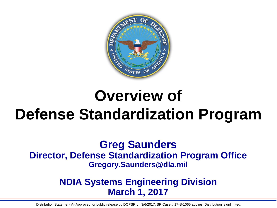

# **Overview of Defense Standardization Program**

**Greg Saunders Director, Defense Standardization Program Office Gregory.Saunders@dla.mil**

#### **NDIA Systems Engineering Division March 1, 2017**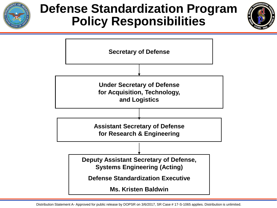

### **Defense Standardization Program Policy Responsibilities**



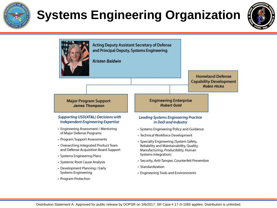

# **Systems Engineering Organization**



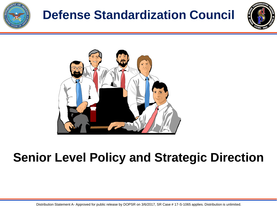

# **Defense Standardization Council**





## **Senior Level Policy and Strategic Direction**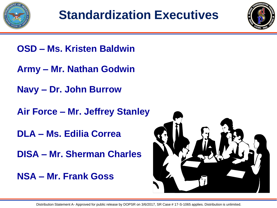



- **OSD – Ms. Kristen Baldwin**
- **Army – Mr. Nathan Godwin**
- **Navy – Dr. John Burrow**
- **Air Force – Mr. Jeffrey Stanley**
- **DLA – Ms. Edilia Correa**
- **DISA – Mr. Sherman Charles**
- **NSA – Mr. Frank Goss**

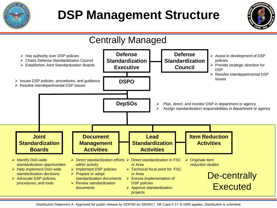

# **DSP Management Structure**



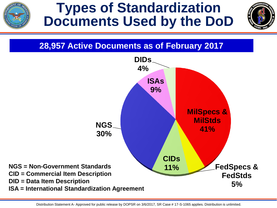

## **Types of Standardization Documents Used by the DoD**



#### **28,957 Active Documents as of February 2017**

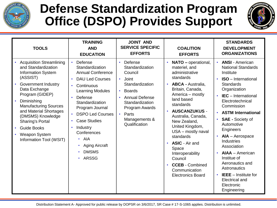![](_page_7_Picture_0.jpeg)

### **Defense Standardization Program Office (DSPO) Provides Support**

![](_page_7_Picture_2.jpeg)

| <b>TOOLS</b>                                                                                                                                                                                                                                                                                                                                          | <b>TRAINING</b><br><b>AND</b><br><b>EDUCATION</b>                                                                                                                                                                                                                                                                                                                                                                          | <b>JOINT AND</b><br><b>SERVICE SPECIFIC</b><br><b>EFFORTS</b>                                                                                                                                                                        | <b>COALITION</b><br><b>EFFORTS</b>                                                                                                                                                                                                                                                                                                                                                                                                                         | <b>STANDARDS</b><br><b>DEVELOPMENT</b><br><b>ORGANIZATIONS</b>                                                                                                                                                                                                                                                                                                                                                                                                                                                                                                    |
|-------------------------------------------------------------------------------------------------------------------------------------------------------------------------------------------------------------------------------------------------------------------------------------------------------------------------------------------------------|----------------------------------------------------------------------------------------------------------------------------------------------------------------------------------------------------------------------------------------------------------------------------------------------------------------------------------------------------------------------------------------------------------------------------|--------------------------------------------------------------------------------------------------------------------------------------------------------------------------------------------------------------------------------------|------------------------------------------------------------------------------------------------------------------------------------------------------------------------------------------------------------------------------------------------------------------------------------------------------------------------------------------------------------------------------------------------------------------------------------------------------------|-------------------------------------------------------------------------------------------------------------------------------------------------------------------------------------------------------------------------------------------------------------------------------------------------------------------------------------------------------------------------------------------------------------------------------------------------------------------------------------------------------------------------------------------------------------------|
| <b>Acquisition Streamlining</b><br>and Standardization<br><b>Information System</b><br>(ASSIST)<br><b>Government Industry</b><br>Data Exchange<br>Program (GIDEP)<br>Diminishing<br><b>Manufacturing Sources</b><br>and Material Shortages<br>(DMSMS) Knowledge<br>Sharing's Portal<br><b>Guide Books</b><br>Weapon System<br>Information Tool (WSIT) | Defense<br>$\bullet$<br>Standardization<br><b>Annual Conference</b><br><b>DAU Led Courses</b><br>$\bullet$<br>Continuous<br>$\bullet$<br><b>Learning Modules</b><br>Defense<br>$\bullet$<br>Standardization<br>Program Journal<br><b>DSPO Led Courses</b><br>$\bullet$<br><b>Case Studies</b><br>$\bullet$<br>Industry<br>$\bullet$<br>Conferences<br>$\cdot$ AIA<br><b>Aging Aircraft</b><br><b>DMSMS</b><br><b>ARSSG</b> | Defense<br>$\bullet$<br>Standardization<br>Council<br>Joint<br>$\bullet$<br>Standardization<br><b>Boards</b><br>$\bullet$<br><b>Annual Defense</b><br>Standardization<br>Program Awards<br>• Parts<br>Managements &<br>Qualification | <b>NATO</b> - operational,<br>materiel, and<br>administrative<br>standards<br><b>ABCA - Australia,</b><br>$\bullet$<br>Britain, Canada,<br>America – mostly<br>land based<br>standards<br><b>AUSCANZUKUS -</b><br>$\bullet$<br>Australia, Canada,<br>New Zealand,<br>United Kingdom,<br>USA - mostly naval<br>standards<br>• ASIC - Air and<br>Space<br>Interoperability<br>Council<br><b>CCEB</b> - Combined<br>Communication<br><b>Electronics Board</b> | <b>ANSI - American</b><br><b>National Standards</b><br>Institute<br><b>ISO</b> - International<br>$\bullet$<br><b>Standards</b><br>Organization<br><b>IEC</b> – International<br>$\bullet$<br>Electrotechnical<br>Commission<br><b>ASTM International</b><br>$\bullet$<br><b>SAE</b> - Society of<br>Automotive<br>Engineers<br>AIA - Aerospace<br>$\bullet$<br><b>Industries</b><br>Association<br><b>AIAA</b> - American<br>Institue of<br>Aeronautics and<br>Astronautics<br><b>IEEE</b> - Institute for<br><b>Electrical and</b><br>Electronic<br>Engineering |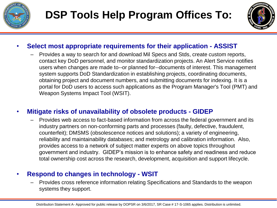![](_page_8_Picture_0.jpeg)

![](_page_8_Picture_2.jpeg)

#### • **Select most appropriate requirements for their application - ASSIST**

– Provides a way to search for and download Mil Specs and Stds, create custom reports, contact key DoD personnel, and monitor standardization projects. An Alert Service notifies users when changes are made to--or planned for--documents of interest. This management system supports DoD Standardization in establishing projects, coordinating documents, obtaining project and document numbers, and submitting documents for indexing. It is a portal for DoD users to access such applications as the Program Manager's Tool (PMT) and Weapon Systems Impact Tool (WSIT).

#### • **Mitigate risks of unavailability of obsolete products - GIDEP**

– Provides web access to fact-based information from across the federal government and its industry partners on non-conforming parts and processes (faulty, defective, fraudulent, counterfeit); DMSMS (obsolescence notices and solutions); a variety of engineering, reliability and maintainability databases; and metrology and calibration information. Also, provides access to a network of subject matter experts on above topics throughout government and industry. GIDEP's mission is to enhance safety and readiness and reduce total ownership cost across the research, development, acquisition and support lifecycle.

#### • **Respond to changes in technology - WSIT**

– Provides cross reference information relating Specifications and Standards to the weapon systems they support.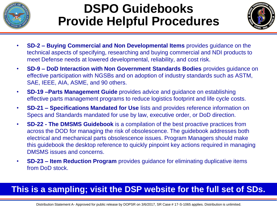![](_page_9_Picture_0.jpeg)

## **DSPO Guidebooks Provide Helpful Procedures**

![](_page_9_Picture_2.jpeg)

- **SD-2 – Buying Commercial and Non Developmental Items** provides guidance on the technical aspects of specifying, researching and buying commercial and NDI products to meet Defense needs at lowered developmental, reliability, and cost risk.
- **SD-9 – DoD Interaction with Non Government Standards Bodies** provides guidance on effective participation with NGSBs and on adoption of industry standards such as ASTM, SAE, IEEE, AIA, ASME, and 90 others.
- **SD-19 –Parts Management Guide** provides advice and guidance on establishing effective parts management programs to reduce logistics footprint and life cycle costs.
- **SD-21 – Specifications Mandated for Use** lists and provides reference information on Specs and Standards mandated for use by law, executive order, or DoD direction.
- **SD-22 - The DMSMS Guidebook** is a compilation of the best proactive practices from across the DOD for managing the risk of obsolescence. The guidebook addresses both electrical and mechanical parts obsolescence issues. Program Managers should make this guidebook the desktop reference to quickly pinpoint key actions required in managing DMSMS issues and concerns.
- **SD-23 – Item Reduction Program** provides guidance for eliminating duplicative items from DoD stock.

#### **This is a sampling; visit the DSP website for the full set of SDs.**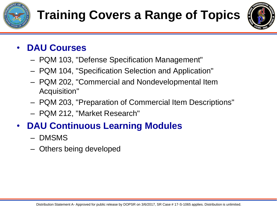![](_page_10_Picture_0.jpeg)

![](_page_10_Picture_2.jpeg)

#### • **DAU Courses**

- PQM 103, "Defense Specification Management"
- PQM 104, "Specification Selection and Application"
- PQM 202, "Commercial and Nondevelopmental Item Acquisition"
- PQM 203, "Preparation of Commercial Item Descriptions"
- PQM 212, "Market Research"

#### • **DAU Continuous Learning Modules**

- DMSMS
- Others being developed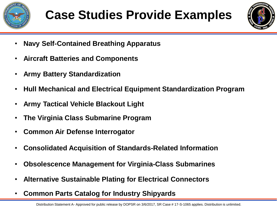![](_page_11_Picture_0.jpeg)

![](_page_11_Picture_2.jpeg)

- **Navy Self-Contained Breathing Apparatus**
- **Aircraft Batteries and Components**
- **Army Battery Standardization**
- **Hull Mechanical and Electrical Equipment Standardization Program**
- **Army Tactical Vehicle Blackout Light**
- **The Virginia Class Submarine Program**
- **Common Air Defense Interrogator**
- **Consolidated Acquisition of Standards-Related Information**
- **Obsolescence Management for Virginia-Class Submarines**
- **Alternative Sustainable Plating for Electrical Connectors**
- **Common Parts Catalog for Industry Shipyards**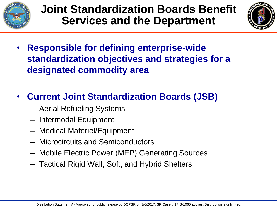![](_page_12_Figure_0.jpeg)

![](_page_12_Picture_2.jpeg)

- **Responsible for defining enterprise-wide standardization objectives and strategies for a designated commodity area**
- **Current Joint Standardization Boards (JSB)**
	- Aerial Refueling Systems
	- Intermodal Equipment
	- Medical Materiel/Equipment
	- Microcircuits and Semiconductors
	- Mobile Electric Power (MEP) Generating Sources
	- Tactical Rigid Wall, Soft, and Hybrid Shelters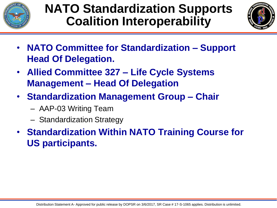![](_page_13_Picture_0.jpeg)

## **NATO Standardization Supports Coalition Interoperability**

![](_page_13_Picture_2.jpeg)

- **NATO Committee for Standardization – Support Head Of Delegation.**
- **Allied Committee 327 – Life Cycle Systems Management – Head Of Delegation**
- **Standardization Management Group – Chair**
	- AAP-03 Writing Team
	- Standardization Strategy
- **Standardization Within NATO Training Course for US participants.**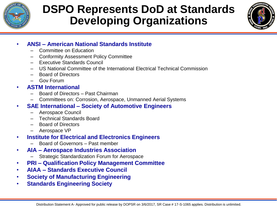![](_page_14_Picture_0.jpeg)

#### **DSPO Represents DoD at Standards Developing Organizations**

![](_page_14_Picture_2.jpeg)

#### • **ANSI – American National Standards Institute**

- Committee on Education
- Conformity Assessment Policy Committee
- Executive Standards Council
- US National Committee of the International Electrical Technical Commission
- Board of Directors
- Gov Forum
- **ASTM International**
	- Board of Directors Past Chairman
	- Committees on: Corrosion, Aerospace, Unmanned Aerial Systems
- **SAE International – Society of Automotive Engineers**
	- Aerospace Council
	- Technical Standards Board
	- Board of Directors
	- Aerospace VP
- **Institute for Electrical and Electronics Engineers**
	- Board of Governors Past member
- **AIA – Aerospace Industries Association**
	- Strategic Standardization Forum for Aerospace
- **PRI – Qualification Policy Management Committee**
- **AIAA – Standards Executive Council**
- **Society of Manufacturing Engineering**
- **Standards Engineering Society**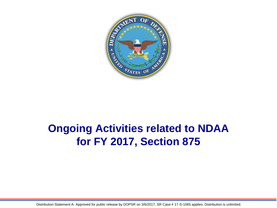![](_page_15_Picture_0.jpeg)

#### **Ongoing Activities related to NDAA for FY 2017, Section 875**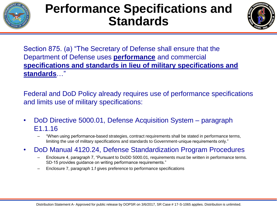![](_page_16_Picture_0.jpeg)

## **Performance Specifications and Standards**

![](_page_16_Picture_2.jpeg)

Section 875. (a) "The Secretary of Defense shall ensure that the Department of Defense uses **performance** and commercial **specifications and standards in lieu of military specifications and standards**…"

Federal and DoD Policy already requires use of performance specifications and limits use of military specifications:

- DoD Directive 5000.01, Defense Acquisition System paragraph E1.1.16
	- "When using performance-based strategies, contract requirements shall be stated in performance terms, limiting the use of military specifications and standards to Government-unique requirements only."
- DoD Manual 4120.24, Defense Standardization Program Procedures
	- Enclosure 4, paragraph 7, "Pursuant to DoDD 5000.01, requirements must be written in performance terms. SD-15 provides guidance on writing performance requirements."
	- Enclosure 7, paragraph 1.f gives preference to performance specifications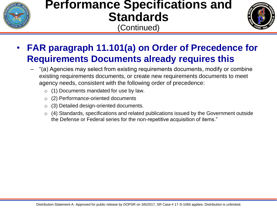![](_page_17_Picture_0.jpeg)

### **Performance Specifications and Standards**

(Continued)

![](_page_17_Picture_3.jpeg)

- **FAR paragraph 11.101(a) on Order of Precedence for Requirements Documents already requires this**
	- "(a) Agencies may select from existing requirements documents, modify or combine existing requirements documents, or create new requirements documents to meet agency needs, consistent with the following order of precedence:
		- o (1) Documents mandated for use by law.
		- o (2) Performance-oriented documents
		- o (3) Detailed design-oriented documents.
		- o (4) Standards, specifications and related publications issued by the Government outside the Defense or Federal series for the non-repetitive acquisition of items."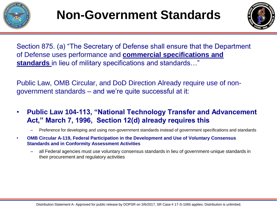![](_page_18_Picture_0.jpeg)

![](_page_18_Picture_2.jpeg)

Section 875. (a) "The Secretary of Defense shall ensure that the Department of Defense uses performance and **commercial specifications and standards** in lieu of military specifications and standards…"

Public Law, OMB Circular, and DoD Direction Already require use of nongovernment standards – and we're quite successful at it:

- **Public Law 104-113, "National Technology Transfer and Advancement Act," March 7, 1996, Section 12(d) already requires this** 
	- Preference for developing and using non-government standards instead of government specifications and standards
- **OMB Circular A-119, Federal Participation in the Development and Use of Voluntary Consensus Standards and in Conformity Assessment Activities**
	- all Federal agencies must use voluntary consensus standards in lieu of government-unique standards in their procurement and regulatory activities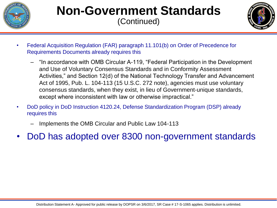![](_page_19_Picture_0.jpeg)

#### **Non-Government Standards** (Continued)

![](_page_19_Picture_2.jpeg)

- Federal Acquisition Regulation (FAR) paragraph 11.101(b) on Order of Precedence for Requirements Documents already requires this
	- "In accordance with OMB Circular A-119, "Federal Participation in the Development and Use of Voluntary Consensus Standards and in Conformity Assessment Activities," and Section 12(d) of the National Technology Transfer and Advancement Act of 1995, Pub. L. 104-113 (15 U.S.C. 272 note), agencies must use voluntary consensus standards, when they exist, in lieu of Government-unique standards, except where inconsistent with law or otherwise impractical."
- DoD policy in DoD Instruction 4120.24, Defense Standardization Program (DSP) already requires this
	- Implements the OMB Circular and Public Law 104-113
- DoD has adopted over 8300 non-government standards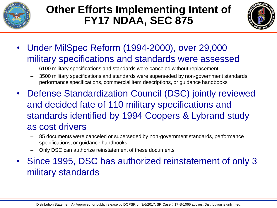![](_page_20_Picture_0.jpeg)

#### **Other Efforts Implementing Intent of FY17 NDAA, SEC 875**

![](_page_20_Picture_2.jpeg)

- Under MilSpec Reform (1994-2000), over 29,000 military specifications and standards were assessed
	- 6100 military specifications and standards were canceled without replacement
	- 3500 military specifications and standards were superseded by non-government standards, performance specifications, commercial item descriptions, or guidance handbooks
- Defense Standardization Council (DSC) jointly reviewed and decided fate of 110 military specifications and standards identified by 1994 Coopers & Lybrand study as cost drivers
	- 85 documents were canceled or superseded by non-government standards, performance specifications, or guidance handbooks
	- Only DSC can authorize reinstatement of these documents
- Since 1995, DSC has authorized reinstatement of only 3 military standards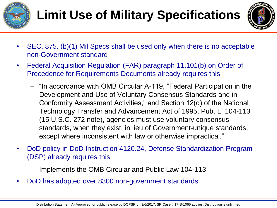![](_page_21_Picture_0.jpeg)

# **Limit Use of Military Specifications**

![](_page_21_Picture_2.jpeg)

- SEC. 875. (b)(1) Mil Specs shall be used only when there is no acceptable non-Government standard
- Federal Acquisition Regulation (FAR) paragraph 11.101(b) on Order of Precedence for Requirements Documents already requires this
	- "In accordance with OMB Circular A-119, "Federal Participation in the Development and Use of Voluntary Consensus Standards and in Conformity Assessment Activities," and Section 12(d) of the National Technology Transfer and Advancement Act of 1995, Pub. L. 104-113 (15 U.S.C. 272 note), agencies must use voluntary consensus standards, when they exist, in lieu of Government-unique standards, except where inconsistent with law or otherwise impractical."
- DoD policy in DoD Instruction 4120.24, Defense Standardization Program (DSP) already requires this
	- Implements the OMB Circular and Public Law 104-113
- DoD has adopted over 8300 non-government standards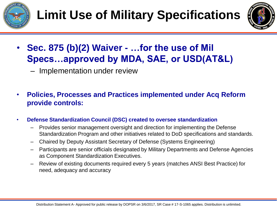![](_page_22_Picture_0.jpeg)

![](_page_22_Picture_2.jpeg)

- **Sec. 875 (b)(2) Waiver - …for the use of Mil Specs…approved by MDA, SAE, or USD(AT&L)**
	- Implementation under review
- **Policies, Processes and Practices implemented under Acq Reform provide controls:**
- **Defense Standardization Council (DSC) created to oversee standardization**
	- Provides senior management oversight and direction for implementing the Defense Standardization Program and other initiatives related to DoD specifications and standards.
	- Chaired by Deputy Assistant Secretary of Defense (Systems Engineering)
	- Participants are senior officials designated by Military Departments and Defense Agencies as Component Standardization Executives.
	- Review of existing documents required every 5 years (matches ANSI Best Practice) for need, adequacy and accuracy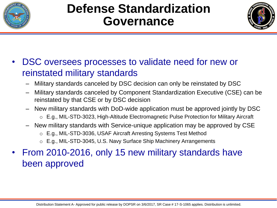![](_page_23_Picture_0.jpeg)

### **Defense Standardization Governance**

![](_page_23_Picture_2.jpeg)

#### • DSC oversees processes to validate need for new or reinstated military standards

- Military standards canceled by DSC decision can only be reinstated by DSC
- Military standards canceled by Component Standardization Executive (CSE) can be reinstated by that CSE or by DSC decision
- New military standards with DoD-wide application must be approved jointly by DSC
	- o E.g., MIL-STD-3023, High-Altitude Electromagnetic Pulse Protection for Military Aircraft
- New military standards with Service-unique application may be approved by CSE
	- o E.g., MIL-STD-3036, USAF Aircraft Arresting Systems Test Method
	- o E.g., MIL-STD-3045, U.S. Navy Surface Ship Machinery Arrangements
- From 2010-2016, only 15 new military standards have been approved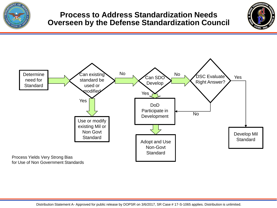![](_page_24_Picture_0.jpeg)

#### **Process to Address Standardization Needs Overseen by the Defense Standardization Council**

![](_page_24_Picture_2.jpeg)

![](_page_24_Figure_3.jpeg)

for Use of Non Government Standards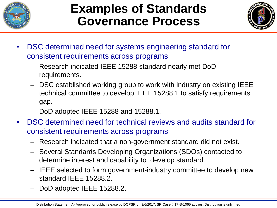![](_page_25_Picture_0.jpeg)

### **Examples of Standards Governance Process**

![](_page_25_Picture_2.jpeg)

- DSC determined need for systems engineering standard for consistent requirements across programs
	- Research indicated IEEE 15288 standard nearly met DoD requirements.
	- DSC established working group to work with industry on existing IEEE technical committee to develop IEEE 15288.1 to satisfy requirements gap.
	- DoD adopted IEEE 15288 and 15288.1.
- DSC determined need for technical reviews and audits standard for consistent requirements across programs
	- Research indicated that a non-government standard did not exist.
	- Several Standards Developing Organizations (SDOs) contacted to determine interest and capability to develop standard.
	- IEEE selected to form government-industry committee to develop new standard IEEE 15288.2.
	- DoD adopted IEEE 15288.2.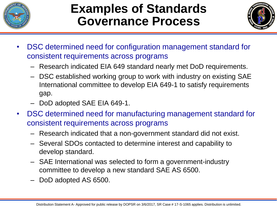![](_page_26_Picture_0.jpeg)

### **Examples of Standards Governance Process**

![](_page_26_Picture_2.jpeg)

- DSC determined need for configuration management standard for consistent requirements across programs
	- Research indicated EIA 649 standard nearly met DoD requirements.
	- DSC established working group to work with industry on existing SAE International committee to develop EIA 649-1 to satisfy requirements gap.
	- DoD adopted SAE EIA 649-1.
- DSC determined need for manufacturing management standard for consistent requirements across programs
	- Research indicated that a non-government standard did not exist.
	- Several SDOs contacted to determine interest and capability to develop standard.
	- SAE International was selected to form a government-industry committee to develop a new standard SAE AS 6500.
	- DoD adopted AS 6500.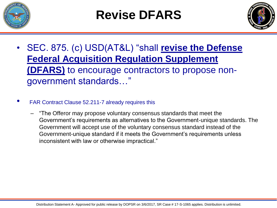![](_page_27_Picture_0.jpeg)

# **Revise DFARS**

![](_page_27_Picture_2.jpeg)

- SEC. 875. (c) USD(AT&L) "shall **revise the Defense Federal Acquisition Regulation Supplement (DFARS)** to encourage contractors to propose nongovernment standards…"
- FAR Contract Clause 52.211-7 already requires this
	- "The Offeror may propose voluntary consensus standards that meet the Government's requirements as alternatives to the Government-unique standards. The Government will accept use of the voluntary consensus standard instead of the Government-unique standard if it meets the Government's requirements unless inconsistent with law or otherwise impractical."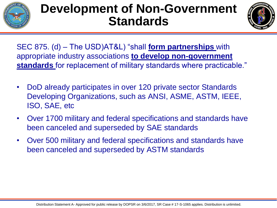![](_page_28_Picture_0.jpeg)

## **Development of Non-Government Standards**

![](_page_28_Picture_2.jpeg)

SEC 875. (d) – The USD)AT&L) "shall **form partnerships** with appropriate industry associations **to develop non-government standards** for replacement of military standards where practicable."

- DoD already participates in over 120 private sector Standards Developing Organizations, such as ANSI, ASME, ASTM, IEEE, ISO, SAE, etc
- Over 1700 military and federal specifications and standards have been canceled and superseded by SAE standards
- Over 500 military and federal specifications and standards have been canceled and superseded by ASTM standards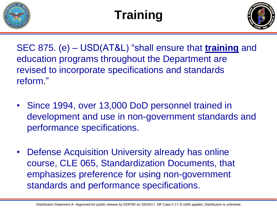![](_page_29_Picture_0.jpeg)

# **Training**

![](_page_29_Picture_2.jpeg)

SEC 875. (e) – USD(AT&L) "shall ensure that **training** and education programs throughout the Department are revised to incorporate specifications and standards reform."

- Since 1994, over 13,000 DoD personnel trained in development and use in non-government standards and performance specifications.
- Defense Acquisition University already has online course, CLE 065, Standardization Documents, that emphasizes preference for using non-government standards and performance specifications.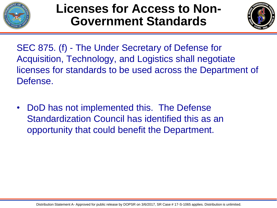![](_page_30_Picture_0.jpeg)

### **Licenses for Access to Non-Government Standards**

![](_page_30_Picture_2.jpeg)

SEC 875. (f) - The Under Secretary of Defense for Acquisition, Technology, and Logistics shall negotiate licenses for standards to be used across the Department of Defense.

DoD has not implemented this. The Defense Standardization Council has identified this as an opportunity that could benefit the Department.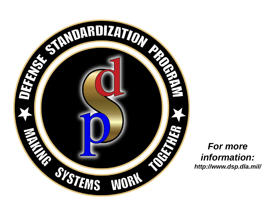![](_page_31_Picture_0.jpeg)

#### *For more information: http://www.dsp.dla.mil/*